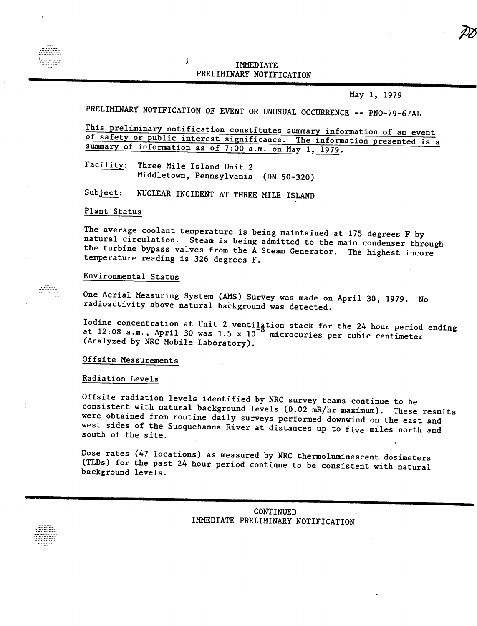# IIMMEDIAI<br>IIMMEDIAI PRELIMINARY NOTIFICATION

May 1, 1979

PRELIMINARY NOTIFICATION OF EVENT OR UNUSUAL OCCURRENCE -- PNO-79-67AL

This preliminary notification constitutes summary information of an event of safety or public interest significance. The information presented is a summary of information as of 7:00 a.m. on May 1, 1979.

Facility: Three Mile Island Unit 2 Middletown, Pennsylvania (DN 50-320)

払

 $Subject:$ NUCLEAR INCIDENT AT THREE MILE ISLAND

#### Plant Status

The average coolant temperature is being maintained at 175 degrees F by natural circulation. Steam is being admitted to the main condenser through the turbine bypass valves from the  $\overline{A}$  Steam Generator. The highest incore temperature reading is 326 degrees F.

### Environmental Status

One Aerial Measuring System (AMS) Survey was made on April 30, 1979. No radioactivity above natural background was detected.

odine concentration at Unit 2 ventilation stack for the 24 hour period ending  $\alpha$ <sup>t 12:08</sup> a.m., April 30 was 1.5 x 10  $^\circ$  microcuries per cubic centimete (Analyzed by NRC Mobile Laboratory).

#### Offsite Measurements

#### Radiation Levels

Offsite radiation levels identified by NRC survey teams continue to be consistent with natural background levels (0.02 mR/hr maximum). These results were obtained from routine daily surveys performed downwind on the east and west sides of the Susquehanna River at distances up to five miles north and south of the site.

Dose rates (47 locations) as measured by NRC thermoluminescent dosimeters (TLDs) for the past 24 hour period continue to be consistent with natural background levels.

> CONTINUED IMMEDIATE PRELIMINARY NOTIFICATION

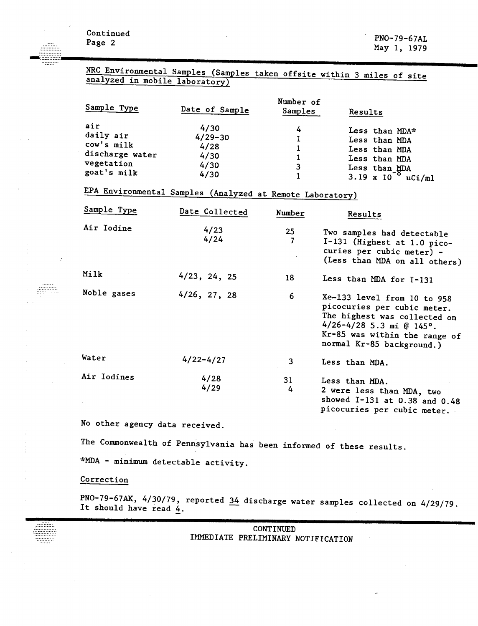NRC Environmental Samples (Samples taken offsite within 3 miles of site analyzed in mobile laboratory)

| Sample Type                                                                    | Date of Sample                                      | Number of<br>Samples | Results                                                                                                                          |
|--------------------------------------------------------------------------------|-----------------------------------------------------|----------------------|----------------------------------------------------------------------------------------------------------------------------------|
| air<br>daily air<br>cow's milk<br>discharge water<br>vegetation<br>goat's milk | 4/30<br>$4/29 - 30$<br>4/28<br>4/30<br>4/30<br>4/30 | 4<br>3               | Less than MDA*<br>Less than MDA<br>Less than MDA<br>Less than MDA<br>Less than $MDA$<br>3.19 x 10 <sup>-8</sup> u<br>$\mu$ Ci/ml |

EPA Environmental Samples (Analyzed at Remote Laboratory)

| Sample Type | Date Collected  | Number               | Results                                                                                                                                                                                  |
|-------------|-----------------|----------------------|------------------------------------------------------------------------------------------------------------------------------------------------------------------------------------------|
| Air Iodine  | 4/23<br>4/24    | 25 <sub>1</sub><br>7 | Two samples had detectable<br>I-131 (Highest at 1.0 pico-<br>curies per cubic meter) -<br>(Less than MDA on all others)                                                                  |
| Milk        | $4/23$ , 24, 25 | 18                   | Less than MDA for I-131                                                                                                                                                                  |
| Noble gases | $4/26$ , 27, 28 | 6                    | Xe-133 level from 10 to 958<br>picocuries per cubic meter.<br>The highest was collected on<br>$4/26 - 4/28$ 5.3 mi @ 145°.<br>Kr-85 was within the range of<br>normal Kr-85 background.) |
| Water       | $4/22 - 4/27$   | 3                    | Less than MDA.                                                                                                                                                                           |
| Air Iodines | 4/28<br>4/29    | 31<br>4              | Less than MDA.<br>2 were less than MDA, two<br>showed I-131 at 0.38 and 0.48<br>picocuries per cubic meter.                                                                              |

No other agency data received.

The Commonwealth of Pennsylvania has been informed of these results.

\*MDA - minimum detectable activity.

# Correction

----------------<br>-----------------

PNO-79-67AK, 4/30/79, reported 34 discharge water samples collected on 4/29/79. It should have read 4.

| CONTINUED |  |                                    |  |  |  |
|-----------|--|------------------------------------|--|--|--|
|           |  | IMMEDIATE PRELIMINARY NOTIFICATION |  |  |  |